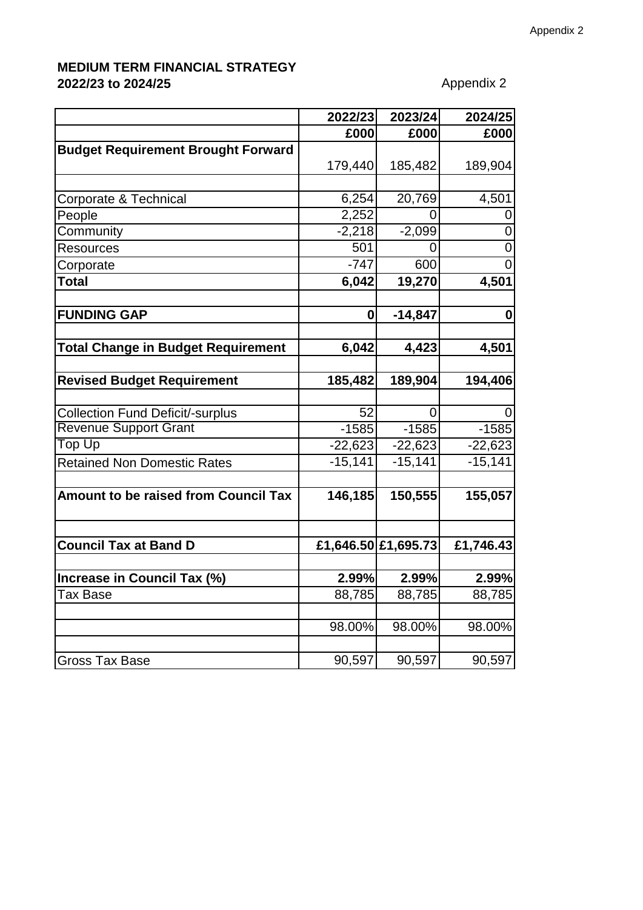## **MEDIUM TERM FINANCIAL STRATEGY 2022/23 to 2024/25** Appendix 2

|                                             | 2022/23             | 2023/24   | 2024/25   |
|---------------------------------------------|---------------------|-----------|-----------|
|                                             | £000                | £000      | £000      |
| <b>Budget Requirement Brought Forward</b>   |                     |           |           |
|                                             | 179,440             | 185,482   | 189,904   |
|                                             |                     |           |           |
| Corporate & Technical                       | 6,254               | 20,769    | 4,501     |
| People                                      | 2,252               | O         |           |
| Community                                   | $-2,218$            | $-2,099$  |           |
| <b>Resources</b>                            | 501                 | 0         |           |
| Corporate                                   | $-747$              | 600       |           |
| <b>Total</b>                                | 6,042               | 19,270    | 4,501     |
|                                             |                     |           |           |
| <b>FUNDING GAP</b>                          | $\bf{0}$            | $-14,847$ | O         |
| <b>Total Change in Budget Requirement</b>   | 6,042               | 4,423     | 4,501     |
|                                             |                     |           |           |
| <b>Revised Budget Requirement</b>           | 185,482             | 189,904   | 194,406   |
| <b>Collection Fund Deficit/-surplus</b>     | 52                  | $\Omega$  |           |
| <b>Revenue Support Grant</b>                | $-1585$             | $-1585$   | $-1585$   |
| Top Up                                      | $-22,623$           | $-22,623$ | $-22,623$ |
| <b>Retained Non Domestic Rates</b>          | $-15,141$           | $-15,141$ | $-15,141$ |
| <b>Amount to be raised from Council Tax</b> | 146,185             | 150,555   | 155,057   |
|                                             |                     |           |           |
| <b>Council Tax at Band D</b>                | £1,646.50 £1,695.73 |           | £1,746.43 |
| Increase in Council Tax (%)                 | 2.99%               | 2.99%     | 2.99%     |
| ax Base                                     | 88,785              | 88,785    | 88,785    |
|                                             | 98.00%              | 98.00%    | 98.00%    |
|                                             |                     |           |           |
| Gross Tax Base                              | 90,597              | 90,597    | 90,597    |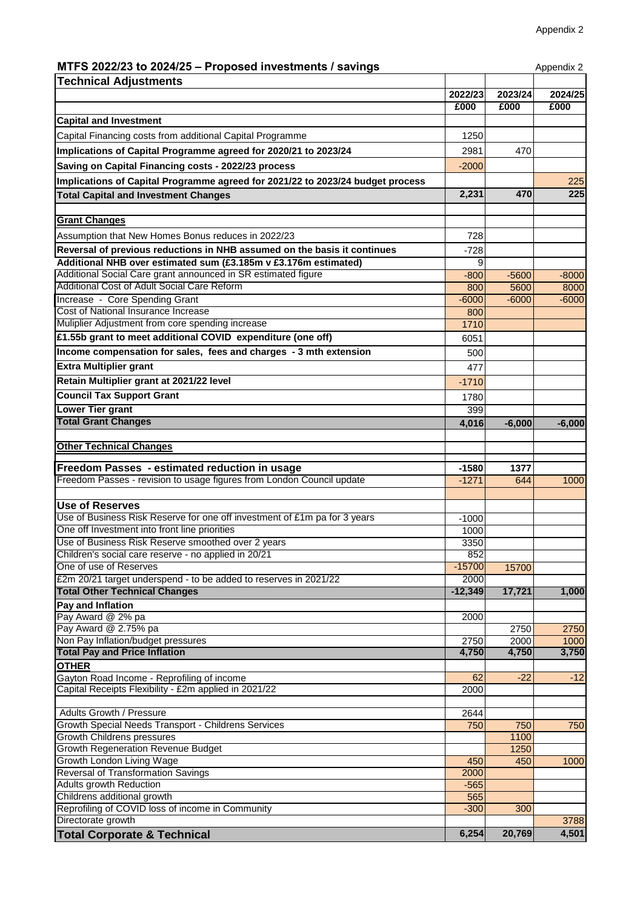## **MTFS 2022/23 to 2024/25 – Proposed investments / savings Appendix 2** Appendix 2

| <b>Technical Adjustments</b>                                                                        |             |          |          |
|-----------------------------------------------------------------------------------------------------|-------------|----------|----------|
|                                                                                                     | 2022/23     | 2023/24  | 2024/25  |
|                                                                                                     | £000        | £000     | £000     |
| <b>Capital and Investment</b>                                                                       |             |          |          |
| Capital Financing costs from additional Capital Programme                                           | 1250        |          |          |
| Implications of Capital Programme agreed for 2020/21 to 2023/24                                     | 2981        | 470      |          |
| Saving on Capital Financing costs - 2022/23 process                                                 | $-2000$     |          |          |
| Implications of Capital Programme agreed for 2021/22 to 2023/24 budget process                      |             |          | 225      |
| <b>Total Capital and Investment Changes</b>                                                         | 2,231       | 470      | 225      |
|                                                                                                     |             |          |          |
| <b>Grant Changes</b>                                                                                |             |          |          |
| Assumption that New Homes Bonus reduces in 2022/23                                                  | 728         |          |          |
| Reversal of previous reductions in NHB assumed on the basis it continues                            | $-728$      |          |          |
| Additional NHB over estimated sum (£3.185m v £3.176m estimated)                                     | Й           |          |          |
| Additional Social Care grant announced in SR estimated figure                                       | $-800$      | $-5600$  | $-8000$  |
| Additional Cost of Adult Social Care Reform                                                         | 800         | 5600     | 8000     |
| Increase - Core Spending Grant                                                                      | $-6000$     | $-6000$  | $-6000$  |
| Cost of National Insurance Increase                                                                 | 800         |          |          |
| Muliplier Adjustment from core spending increase                                                    | 1710        |          |          |
| £1.55b grant to meet additional COVID expenditure (one off)                                         | 6051        |          |          |
| Income compensation for sales, fees and charges - 3 mth extension                                   | 500         |          |          |
| <b>Extra Multiplier grant</b>                                                                       | 477         |          |          |
| Retain Multiplier grant at 2021/22 level                                                            | $-1710$     |          |          |
| <b>Council Tax Support Grant</b>                                                                    |             |          |          |
| Lower Tier grant                                                                                    | 1780<br>399 |          |          |
| <b>Total Grant Changes</b>                                                                          |             |          |          |
|                                                                                                     | 4,016       | $-6,000$ | $-6,000$ |
| <b>Other Technical Changes</b>                                                                      |             |          |          |
|                                                                                                     |             |          |          |
| Freedom Passes - estimated reduction in usage                                                       | $-1580$     | 1377     |          |
| Freedom Passes - revision to usage figures from London Council update                               | $-1271$     | 644      | 1000     |
| <b>Use of Reserves</b>                                                                              |             |          |          |
| Use of Business Risk Reserve for one off investment of £1m pa for 3 years                           | $-1000$     |          |          |
| One off Investment into front line priorities                                                       | 1000        |          |          |
| Use of Business Risk Reserve smoothed over 2 years                                                  | 3350        |          |          |
| Children's social care reserve - no applied in 20/21                                                | 852         |          |          |
| One of use of Reserves                                                                              | $-15700$    | 15700    |          |
| £2m 20/21 target underspend - to be added to reserves in 2021/22                                    | 2000        |          |          |
| <b>Total Other Technical Changes</b>                                                                | $-12,349$   | 17,721   | 1,000    |
| Pay and Inflation                                                                                   |             |          |          |
| Pay Award @ 2% pa                                                                                   | 2000        |          |          |
| Pay Award @ 2.75% pa                                                                                |             | 2750     | 2750     |
| Non Pay Inflation/budget pressures                                                                  | 2750        | 2000     | 1000     |
| <b>Total Pay and Price Inflation</b>                                                                | 4,750       | 4,750    | 3,750    |
| <b>OTHER</b>                                                                                        |             |          |          |
| Gayton Road Income - Reprofiling of income<br>Capital Receipts Flexibility - £2m applied in 2021/22 | 62<br>2000  | $-22$    | $-12$    |
|                                                                                                     |             |          |          |
| Adults Growth / Pressure                                                                            | 2644        |          |          |
| Growth Special Needs Transport - Childrens Services                                                 | 750         | 750      | 750      |
| <b>Growth Childrens pressures</b>                                                                   |             | 1100     |          |
| <b>Growth Regeneration Revenue Budget</b>                                                           |             | 1250     |          |
| Growth London Living Wage                                                                           | 450         | 450      | 1000     |
| Reversal of Transformation Savings                                                                  | 2000        |          |          |
| Adults growth Reduction                                                                             | $-565$      |          |          |
| Childrens additional growth<br>Reprofiling of COVID loss of income in Community                     | 565         |          |          |
| Directorate growth                                                                                  | $-300$      | 300      | 3788     |
| <b>Total Corporate &amp; Technical</b>                                                              | 6,254       | 20,769   | 4,501    |
|                                                                                                     |             |          |          |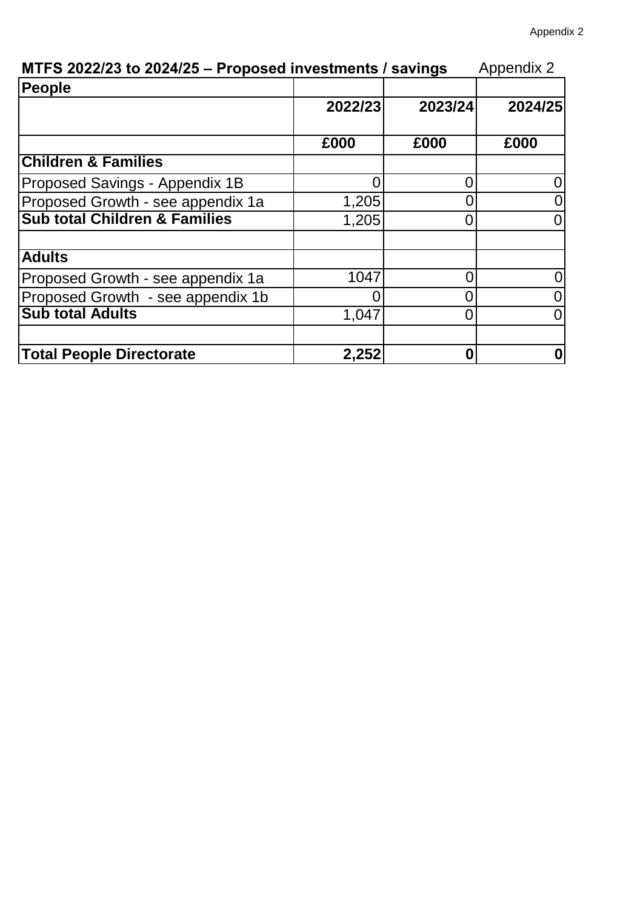| MTFS 2022/23 to 2024/25 - Proposed investments / savings |         |         | <b>Appendix 2</b> |
|----------------------------------------------------------|---------|---------|-------------------|
| People                                                   |         |         |                   |
|                                                          | 2022/23 | 2023/24 | 2024/25           |
|                                                          | £000    | £000    | £000              |
| <b>Children &amp; Families</b>                           |         |         |                   |
| Proposed Savings - Appendix 1B                           |         |         |                   |
| Proposed Growth - see appendix 1a                        | 1,205   |         | ()                |
| <b>Sub total Children &amp; Families</b>                 | 1,205   |         | 0                 |
| <b>Adults</b>                                            |         |         |                   |
| Proposed Growth - see appendix 1a                        | 1047    |         | 0                 |
| Proposed Growth - see appendix 1b                        |         |         |                   |
| <b>Sub total Adults</b>                                  | 1,047   |         | 0                 |
| <b>Total People Directorate</b>                          | 2,252   | O       | 0                 |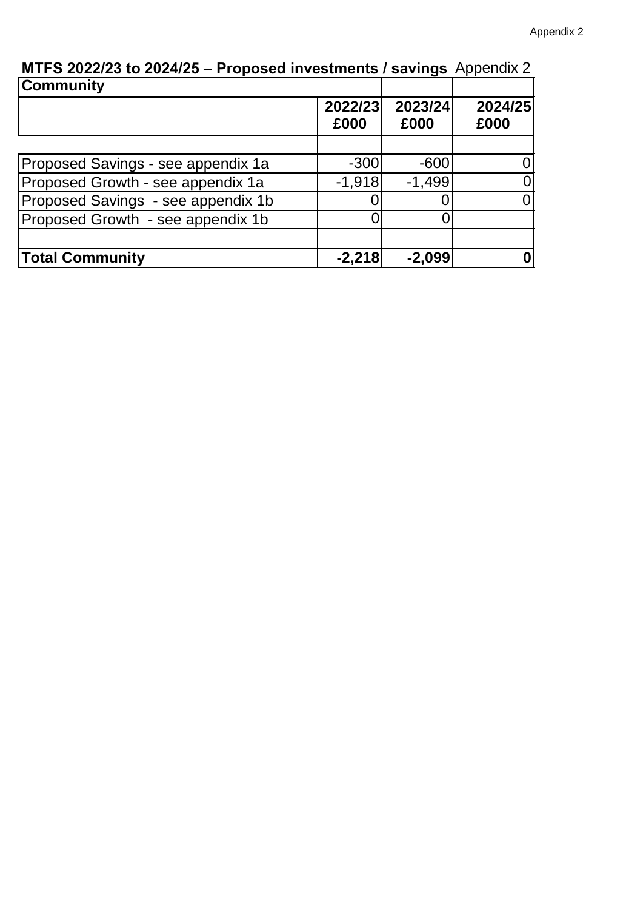| <b>MIT O EVELILO IO LULTILO – I TOPOJUM INTUJUNITIO I JAVINGJ</b> TIPPONOK L<br><b>Community</b> |          |          |         |
|--------------------------------------------------------------------------------------------------|----------|----------|---------|
|                                                                                                  | 2022/23  | 2023/24  | 2024/25 |
|                                                                                                  | £000     | £000     | £000    |
|                                                                                                  |          |          |         |
| Proposed Savings - see appendix 1a                                                               | $-300$   | $-600$   |         |
| Proposed Growth - see appendix 1a                                                                | $-1,918$ | $-1,499$ | 0       |
| Proposed Savings - see appendix 1b                                                               |          |          | 0       |
| Proposed Growth - see appendix 1b                                                                |          |          |         |
|                                                                                                  |          |          |         |
| <b>Total Community</b>                                                                           | $-2,218$ | $-2,099$ | 0       |

**MTFS 2022/23 to 2024/25 – Proposed investments / savings** Appendix 2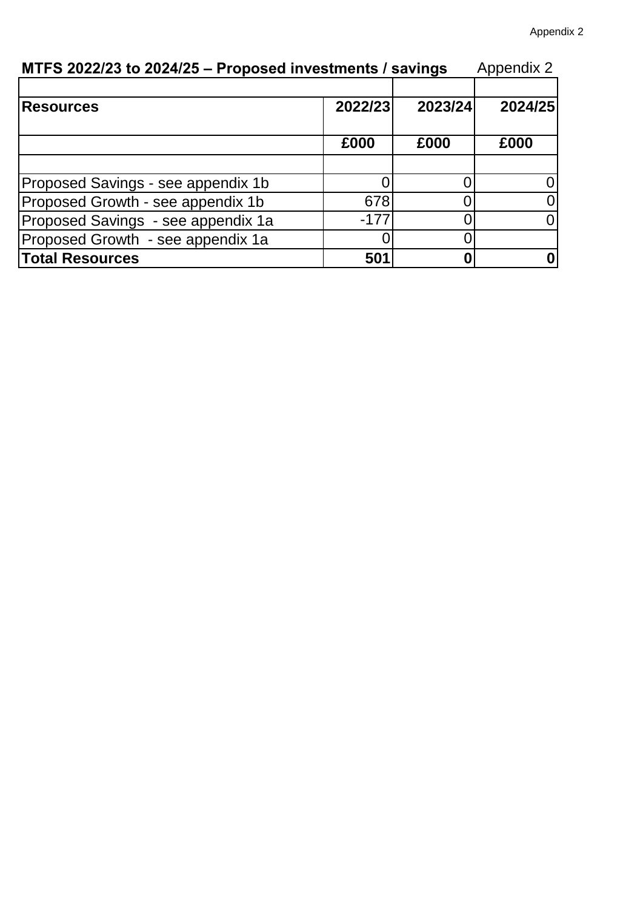| MTFS 2022/23 to 2024/25 - Proposed investments / savings |         |         | <b>Appendix 2</b> |
|----------------------------------------------------------|---------|---------|-------------------|
| <b>Resources</b>                                         | 2022/23 | 2023/24 | 2024/25           |
|                                                          | £000    | £000    | £000              |
| Proposed Savings - see appendix 1b                       |         |         |                   |
| Proposed Growth - see appendix 1b                        | 678     |         |                   |
| Proposed Savings - see appendix 1a                       | $-177$  |         |                   |
| Proposed Growth - see appendix 1a                        |         |         |                   |
| <b>Total Resources</b>                                   | 501     |         |                   |